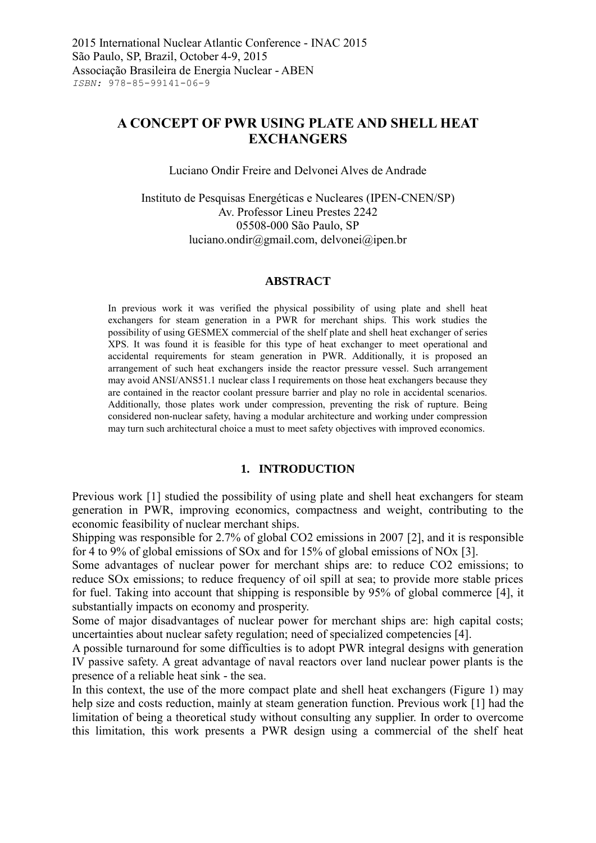# **A CONCEPT OF PWR USING PLATE AND SHELL HEAT EXCHANGERS**

Luciano Ondir Freire and Delvonei Alves de Andrade

Instituto de Pesquisas Energéticas e Nucleares (IPEN-CNEN/SP) Av. Professor Lineu Prestes 2242 05508-000 São Paulo, SP luciano.ondir@gmail.com, delvonei@ipen.br

#### **ABSTRACT**

In previous work it was verified the physical possibility of using plate and shell heat exchangers for steam generation in a PWR for merchant ships. This work studies the possibility of using GESMEX commercial of the shelf plate and shell heat exchanger of series XPS. It was found it is feasible for this type of heat exchanger to meet operational and accidental requirements for steam generation in PWR. Additionally, it is proposed an arrangement of such heat exchangers inside the reactor pressure vessel. Such arrangement may avoid ANSI/ANS51.1 nuclear class I requirements on those heat exchangers because they are contained in the reactor coolant pressure barrier and play no role in accidental scenarios. Additionally, those plates work under compression, preventing the risk of rupture. Being considered non-nuclear safety, having a modular architecture and working under compression may turn such architectural choice a must to meet safety objectives with improved economics.

#### **1. INTRODUCTION**

Previous work [\[1\]](#page-7-0) studied the possibility of using plate and shell heat exchangers for steam generation in PWR, improving economics, compactness and weight, contributing to the economic feasibility of nuclear merchant ships.

Shipping was responsible for 2.7% of global CO2 emissions in 2007 [\[2\]](#page-7-1), and it is responsible for 4 to 9% of global emissions of SOx and for 15% of global emissions of NOx [\[3\]](#page-7-2).

Some advantages of nuclear power for merchant ships are: to reduce CO2 emissions; to reduce SOx emissions; to reduce frequency of oil spill at sea; to provide more stable prices for fuel. Taking into account that shipping is responsible by 95% of global commerce [\[4\]](#page-7-3), it substantially impacts on economy and prosperity.

Some of major disadvantages of nuclear power for merchant ships are: high capital costs; uncertainties about nuclear safety regulation; need of specialized competencies [\[4\]](#page-7-3).

A possible turnaround for some difficulties is to adopt PWR integral designs with generation IV passive safety. A great advantage of naval reactors over land nuclear power plants is the presence of a reliable heat sink - the sea.

In this context, the use of the more compact plate and shell heat exchangers (Figure 1) may help size and costs reduction, mainly at steam generation function. Previous work [\[1\]](#page-7-0) had the limitation of being a theoretical study without consulting any supplier. In order to overcome this limitation, this work presents a PWR design using a commercial of the shelf heat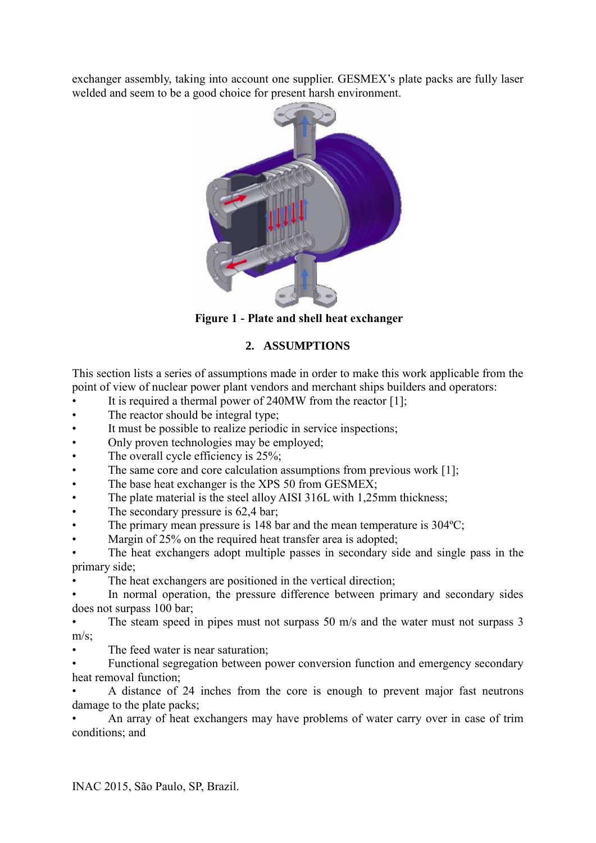exchanger assembly, taking into account one supplier. GESMEX's plate packs are fully laser welded and seem to be a good choice for present harsh environment.



**Figure 1 - Plate and shell heat exchanger**

# **2. ASSUMPTIONS**

This section lists a series of assumptions made in order to make this work applicable from the point of view of nuclear power plant vendors and merchant ships builders and operators:

- It is required a thermal power of  $240MW$  from the reactor [\[1\]](#page-7-0);
- The reactor should be integral type;
- It must be possible to realize periodic in service inspections;
- Only proven technologies may be employed;
- The overall cycle efficiency is 25%;
- The same core and core calculation assumptions from previous work [\[1\]](#page-7-0);
- The base heat exchanger is the XPS 50 from GESMEX;
- The plate material is the steel alloy AISI 316L with 1,25mm thickness;
- The secondary pressure is 62,4 bar;
- The primary mean pressure is 148 bar and the mean temperature is 304 °C;
- Margin of 25% on the required heat transfer area is adopted;

The heat exchangers adopt multiple passes in secondary side and single pass in the primary side;

The heat exchangers are positioned in the vertical direction;

In normal operation, the pressure difference between primary and secondary sides does not surpass 100 bar;

The steam speed in pipes must not surpass 50 m/s and the water must not surpass 3  $m/s$ ;

The feed water is near saturation;

• Functional segregation between power conversion function and emergency secondary heat removal function;

• A distance of 24 inches from the core is enough to prevent major fast neutrons damage to the plate packs;

• An array of heat exchangers may have problems of water carry over in case of trim conditions; and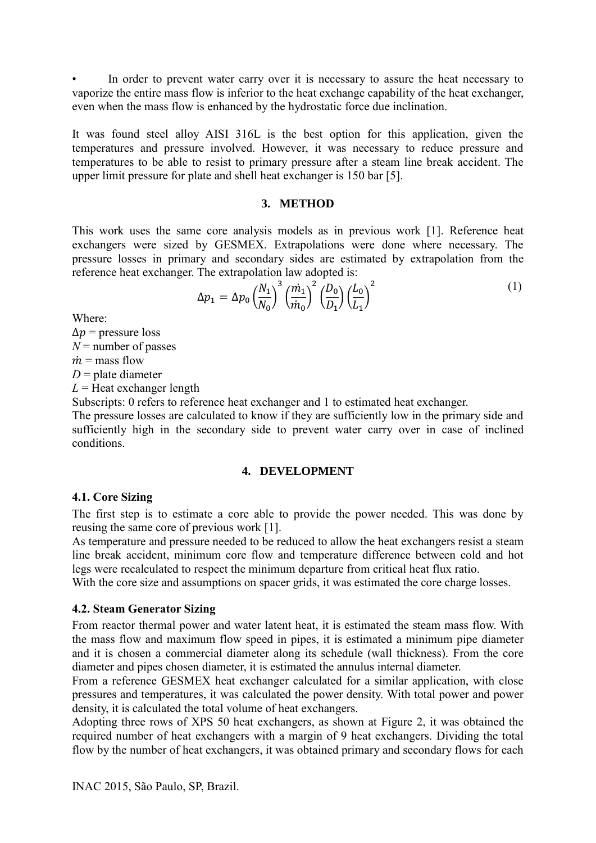In order to prevent water carry over it is necessary to assure the heat necessary to vaporize the entire mass flow is inferior to the heat exchange capability of the heat exchanger, even when the mass flow is enhanced by the hydrostatic force due inclination.

It was found steel alloy AISI 316L is the best option for this application, given the temperatures and pressure involved. However, it was necessary to reduce pressure and temperatures to be able to resist to primary pressure after a steam line break accident. The upper limit pressure for plate and shell heat exchanger is 150 bar [\[5\]](#page-7-4).

### **3. METHOD**

This work uses the same core analysis models as in previous work [\[1\]](#page-7-0). Reference heat exchangers were sized by GESMEX. Extrapolations were done where necessary. The pressure losses in primary and secondary sides are estimated by extrapolation from the reference heat exchanger. The extrapolation law adopted is:

$$
\Delta p_1 = \Delta p_0 \left(\frac{N_1}{N_0}\right)^3 \left(\frac{m_1}{m_0}\right)^2 \left(\frac{D_0}{D_1}\right) \left(\frac{L_0}{L_1}\right)^2 \tag{1}
$$

Where:

 $\Delta p$  = pressure loss  $N$  = number of passes  $\dot{m}$  = mass flow *D* = plate diameter  $L =$  Heat exchanger length

Subscripts: 0 refers to reference heat exchanger and 1 to estimated heat exchanger. The pressure losses are calculated to know if they are sufficiently low in the primary side and

sufficiently high in the secondary side to prevent water carry over in case of inclined conditions.

## **4. DEVELOPMENT**

## **4.1. Core Sizing**

The first step is to estimate a core able to provide the power needed. This was done by reusing the same core of previous work [\[1\]](#page-7-0).

As temperature and pressure needed to be reduced to allow the heat exchangers resist a steam line break accident, minimum core flow and temperature difference between cold and hot legs were recalculated to respect the minimum departure from critical heat flux ratio.

With the core size and assumptions on spacer grids, it was estimated the core charge losses.

## **4.2. Steam Generator Sizing**

From reactor thermal power and water latent heat, it is estimated the steam mass flow. With the mass flow and maximum flow speed in pipes, it is estimated a minimum pipe diameter and it is chosen a commercial diameter along its schedule (wall thickness). From the core diameter and pipes chosen diameter, it is estimated the annulus internal diameter.

From a reference GESMEX heat exchanger calculated for a similar application, with close pressures and temperatures, it was calculated the power density. With total power and power density, it is calculated the total volume of heat exchangers.

Adopting three rows of XPS 50 heat exchangers, as shown at [Figure 2,](#page-3-0) it was obtained the required number of heat exchangers with a margin of 9 heat exchangers. Dividing the total flow by the number of heat exchangers, it was obtained primary and secondary flows for each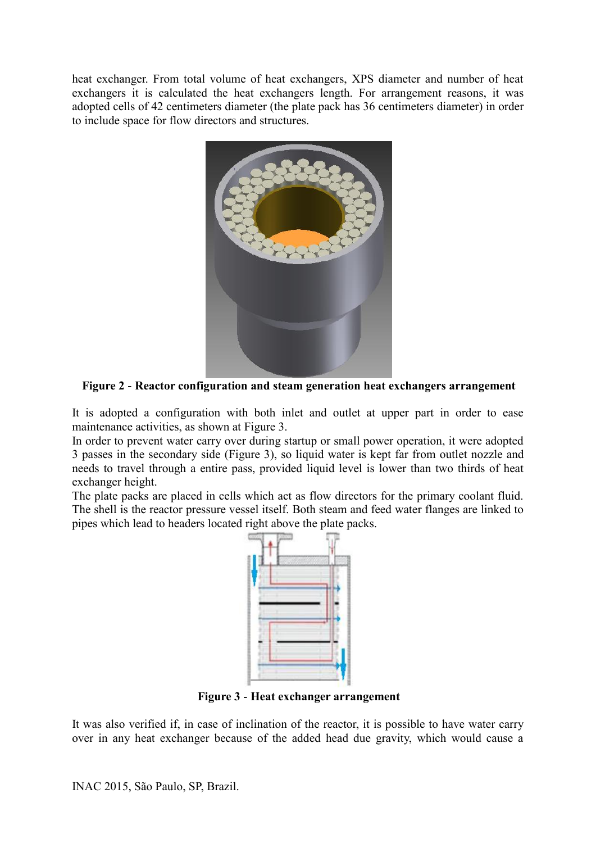heat exchanger. From total volume of heat exchangers, XPS diameter and number of heat exchangers it is calculated the heat exchangers length. For arrangement reasons, it was adopted cells of 42 centimeters diameter (the plate pack has 36 centimeters diameter) in order to include space for flow directors and structures.



**Figure 2 - Reactor configuration and steam generation heat exchangers arrangement**

<span id="page-3-0"></span>It is adopted a configuration with both inlet and outlet at upper part in order to ease maintenance activities, as shown at [Figure 3.](#page-3-1)

In order to prevent water carry over during startup or small power operation, it were adopted 3 passes in the secondary side [\(Figure 3\)](#page-3-1), so liquid water is kept far from outlet nozzle and needs to travel through a entire pass, provided liquid level is lower than two thirds of heat exchanger height.

The plate packs are placed in cells which act as flow directors for the primary coolant fluid. The shell is the reactor pressure vessel itself. Both steam and feed water flanges are linked to pipes which lead to headers located right above the plate packs.



**Figure 3 - Heat exchanger arrangement**

<span id="page-3-1"></span>It was also verified if, in case of inclination of the reactor, it is possible to have water carry over in any heat exchanger because of the added head due gravity, which would cause a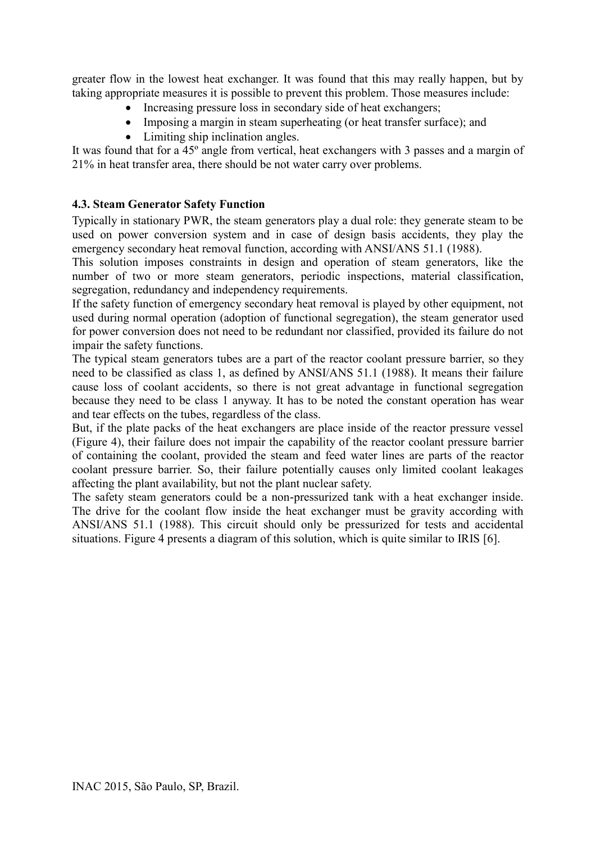greater flow in the lowest heat exchanger. It was found that this may really happen, but by taking appropriate measures it is possible to prevent this problem. Those measures include:

- Increasing pressure loss in secondary side of heat exchangers;
- Imposing a margin in steam superheating (or heat transfer surface); and
- Limiting ship inclination angles.

It was found that for a 45º angle from vertical, heat exchangers with 3 passes and a margin of 21% in heat transfer area, there should be not water carry over problems.

## **4.3. Steam Generator Safety Function**

Typically in stationary PWR, the steam generators play a dual role: they generate steam to be used on power conversion system and in case of design basis accidents, they play the emergency secondary heat removal function, according with ANSI/ANS 51.1 (1988).

This solution imposes constraints in design and operation of steam generators, like the number of two or more steam generators, periodic inspections, material classification, segregation, redundancy and independency requirements.

If the safety function of emergency secondary heat removal is played by other equipment, not used during normal operation (adoption of functional segregation), the steam generator used for power conversion does not need to be redundant nor classified, provided its failure do not impair the safety functions.

The typical steam generators tubes are a part of the reactor coolant pressure barrier, so they need to be classified as class 1, as defined by ANSI/ANS 51.1 (1988). It means their failure cause loss of coolant accidents, so there is not great advantage in functional segregation because they need to be class 1 anyway. It has to be noted the constant operation has wear and tear effects on the tubes, regardless of the class.

But, if the plate packs of the heat exchangers are place inside of the reactor pressure vessel [\(Figure 4\)](#page-5-0), their failure does not impair the capability of the reactor coolant pressure barrier of containing the coolant, provided the steam and feed water lines are parts of the reactor coolant pressure barrier. So, their failure potentially causes only limited coolant leakages affecting the plant availability, but not the plant nuclear safety.

The safety steam generators could be a non-pressurized tank with a heat exchanger inside. The drive for the coolant flow inside the heat exchanger must be gravity according with ANSI/ANS 51.1 (1988). This circuit should only be pressurized for tests and accidental situations. [Figure 4](#page-5-0) presents a diagram of this solution, which is quite similar to IRIS [\[6\]](#page-7-5).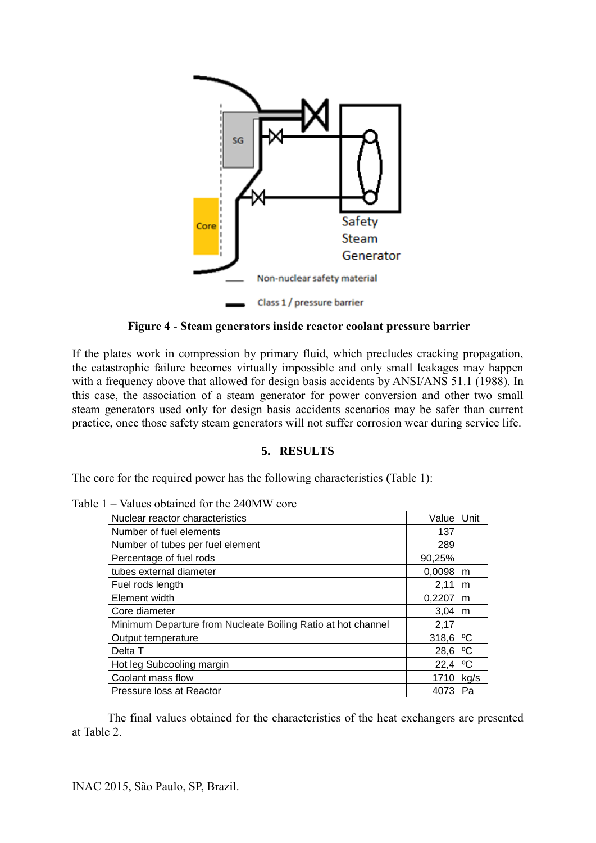

**Figure 4 - Steam generators inside reactor coolant pressure barrier**

<span id="page-5-0"></span>If the plates work in compression by primary fluid, which precludes cracking propagation, the catastrophic failure becomes virtually impossible and only small leakages may happen with a frequency above that allowed for design basis accidents by ANSI/ANS 51.1 (1988). In this case, the association of a steam generator for power conversion and other two small steam generators used only for design basis accidents scenarios may be safer than current practice, once those safety steam generators will not suffer corrosion wear during service life.

### **5. RESULTS**

The core for the required power has the following characteristics **(**[Table 1\)](#page-5-1):

| Nuclear reactor characteristics                              | Value   Unit |      |
|--------------------------------------------------------------|--------------|------|
| Number of fuel elements                                      | 137          |      |
| Number of tubes per fuel element                             | 289          |      |
| Percentage of fuel rods                                      | 90,25%       |      |
| tubes external diameter                                      | 0,0098       | m    |
| Fuel rods length                                             | 2,11         | m    |
| Element width                                                | 0,2207       | m    |
| Core diameter                                                | 3,04         | m    |
| Minimum Departure from Nucleate Boiling Ratio at hot channel | 2,17         |      |
| Output temperature                                           | 318,6        | ∘c   |
| Delta T                                                      | 28,6         | °C   |
| Hot leg Subcooling margin                                    | 22,4         | ∘c   |
| Coolant mass flow                                            | 1710         | kg/s |
| Pressure loss at Reactor                                     | 4073         | Pa   |

<span id="page-5-1"></span>Table 1 – Values obtained for the 240MW core

The final values obtained for the characteristics of the heat exchangers are presented at [Table 2.](#page-6-0)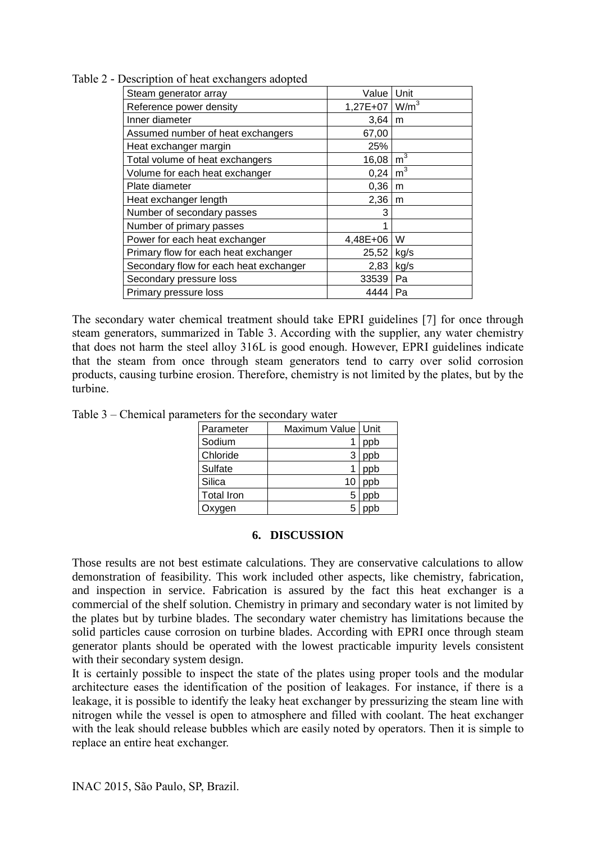<span id="page-6-0"></span>Table 2 - Description of heat exchangers adopted

| Steam generator array                  | Value                            | Unit           |
|----------------------------------------|----------------------------------|----------------|
| Reference power density                | 1,27E+07 $\mid$ W/m <sup>3</sup> |                |
| Inner diameter                         | 3,64                             | m              |
| Assumed number of heat exchangers      | 67,00                            |                |
| Heat exchanger margin                  | 25%                              |                |
| Total volume of heat exchangers        | 16,08                            | m <sup>3</sup> |
| Volume for each heat exchanger         | 0,24                             | m <sup>3</sup> |
| Plate diameter                         | 0,36                             | m              |
| Heat exchanger length                  | 2,36                             | m              |
| Number of secondary passes             | 3                                |                |
| Number of primary passes               |                                  |                |
| Power for each heat exchanger          | 4,48E+06                         | W              |
| Primary flow for each heat exchanger   | 25,52                            | kg/s           |
| Secondary flow for each heat exchanger | 2,83                             | kg/s           |
| Secondary pressure loss                | 33539                            | Pa             |
| Primary pressure loss                  | 4444                             | Pa             |

The secondary water chemical treatment should take EPRI guidelines [\[7\]](#page-7-6) for once through steam generators, summarized in [Table 3.](#page-6-1) According with the supplier, any water chemistry that does not harm the steel alloy 316L is good enough. However, EPRI guidelines indicate that the steam from once through steam generators tend to carry over solid corrosion products, causing turbine erosion. Therefore, chemistry is not limited by the plates, but by the turbine.

<span id="page-6-1"></span>Table 3 – Chemical parameters for the secondary water

| Parameter         | Maximum Value | Unit |
|-------------------|---------------|------|
| Sodium            |               | ppb  |
| Chloride          |               | ppb  |
| Sulfate           |               | ppb  |
| Silica            | 10            | ppb  |
| <b>Total Iron</b> | 5             | pb   |
| en                |               |      |

#### **6. DISCUSSION**

Those results are not best estimate calculations. They are conservative calculations to allow demonstration of feasibility. This work included other aspects, like chemistry, fabrication, and inspection in service. Fabrication is assured by the fact this heat exchanger is a commercial of the shelf solution. Chemistry in primary and secondary water is not limited by the plates but by turbine blades. The secondary water chemistry has limitations because the solid particles cause corrosion on turbine blades. According with EPRI once through steam generator plants should be operated with the lowest practicable impurity levels consistent with their secondary system design.

It is certainly possible to inspect the state of the plates using proper tools and the modular architecture eases the identification of the position of leakages. For instance, if there is a leakage, it is possible to identify the leaky heat exchanger by pressurizing the steam line with nitrogen while the vessel is open to atmosphere and filled with coolant. The heat exchanger with the leak should release bubbles which are easily noted by operators. Then it is simple to replace an entire heat exchanger.